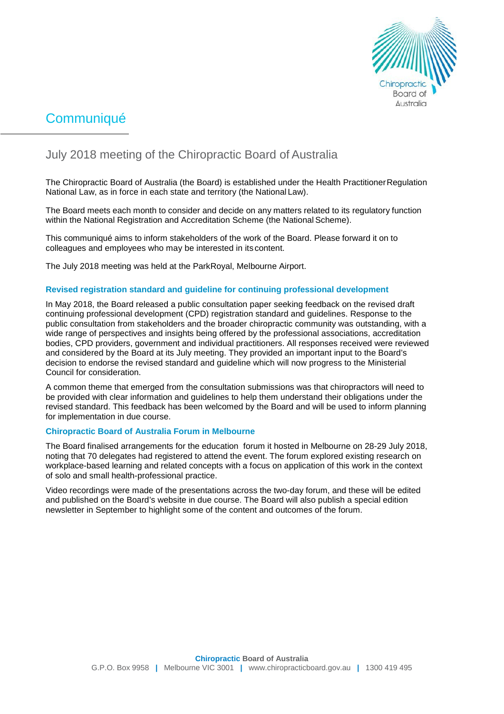

# **Communiqué**

## July 2018 meeting of the Chiropractic Board of Australia

The Chiropractic Board of Australia (the Board) is established under the Health PractitionerRegulation National Law, as in force in each state and territory (the National Law).

The Board meets each month to consider and decide on any matters related to its regulatory function within the National Registration and Accreditation Scheme (the National Scheme).

This communiqué aims to inform stakeholders of the work of the Board. Please forward it on to colleagues and employees who may be interested in its content.

The July 2018 meeting was held at the ParkRoyal, Melbourne Airport.

#### **Revised registration standard and guideline for continuing professional development**

In May 2018, the Board released a public consultation paper seeking feedback on the revised draft continuing professional development (CPD) registration standard and guidelines. Response to the public consultation from stakeholders and the broader chiropractic community was outstanding, with a wide range of perspectives and insights being offered by the professional associations, accreditation bodies, CPD providers, government and individual practitioners. All responses received were reviewed and considered by the Board at its July meeting. They provided an important input to the Board's decision to endorse the revised standard and guideline which will now progress to the Ministerial Council for consideration.

A common theme that emerged from the consultation submissions was that chiropractors will need to be provided with clear information and guidelines to help them understand their obligations under the revised standard. This feedback has been welcomed by the Board and will be used to inform planning for implementation in due course.

#### **Chiropractic Board of Australia Forum in Melbourne**

The Board finalised arrangements for the education forum it hosted in Melbourne on 28-29 July 2018, noting that 70 delegates had registered to attend the event. The forum explored existing research on workplace-based learning and related concepts with a focus on application of this work in the context of solo and small health-professional practice.

Video recordings were made of the presentations across the two-day forum, and these will be edited and published on the Board's website in due course. The Board will also publish a special edition newsletter in September to highlight some of the content and outcomes of the forum.